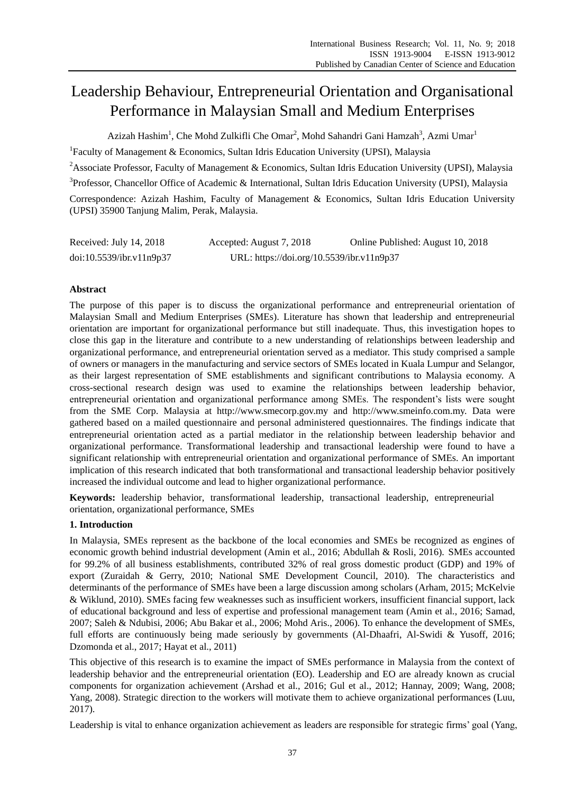# Leadership Behaviour, Entrepreneurial Orientation and Organisational Performance in Malaysian Small and Medium Enterprises

Azizah Hashim<sup>1</sup>, Che Mohd Zulkifli Che Omar<sup>2</sup>, Mohd Sahandri Gani Hamzah<sup>3</sup>, Azmi Umar<sup>1</sup>

<sup>1</sup>Faculty of Management & Economics, Sultan Idris Education University (UPSI), Malaysia

<sup>2</sup>Associate Professor, Faculty of Management & Economics, Sultan Idris Education University (UPSI), Malaysia

<sup>3</sup>Professor, Chancellor Office of Academic & International, Sultan Idris Education University (UPSI), Malaysia

Correspondence: Azizah Hashim, Faculty of Management & Economics, Sultan Idris Education University (UPSI) 35900 Tanjung Malim, Perak, Malaysia.

| Received: July 14, 2018  | Accepted: August 7, 2018                  | Online Published: August 10, 2018 |
|--------------------------|-------------------------------------------|-----------------------------------|
| doi:10.5539/ibr.v11n9p37 | URL: https://doi.org/10.5539/ibr.v11n9p37 |                                   |

# **Abstract**

The purpose of this paper is to discuss the organizational performance and entrepreneurial orientation of Malaysian Small and Medium Enterprises (SMEs). Literature has shown that leadership and entrepreneurial orientation are important for organizational performance but still inadequate. Thus, this investigation hopes to close this gap in the literature and contribute to a new understanding of relationships between leadership and organizational performance, and entrepreneurial orientation served as a mediator. This study comprised a sample of owners or managers in the manufacturing and service sectors of SMEs located in Kuala Lumpur and Selangor, as their largest representation of SME establishments and significant contributions to Malaysia economy. A cross-sectional research design was used to examine the relationships between leadership behavior, entrepreneurial orientation and organizational performance among SMEs. The respondent's lists were sought from the SME Corp. Malaysia at http://www.smecorp.gov.my and http://www.smeinfo.com.my. Data were gathered based on a mailed questionnaire and personal administered questionnaires. The findings indicate that entrepreneurial orientation acted as a partial mediator in the relationship between leadership behavior and organizational performance. Transformational leadership and transactional leadership were found to have a significant relationship with entrepreneurial orientation and organizational performance of SMEs. An important implication of this research indicated that both transformational and transactional leadership behavior positively increased the individual outcome and lead to higher organizational performance.

**Keywords:** leadership behavior, transformational leadership, transactional leadership, entrepreneurial orientation, organizational performance, SMEs

# **1. Introduction**

In Malaysia, SMEs represent as the backbone of the local economies and SMEs be recognized as engines of economic growth behind industrial development (Amin et al., 2016; Abdullah & Rosli, 2016). SMEs accounted for 99.2% of all business establishments, contributed 32% of real gross domestic product (GDP) and 19% of export (Zuraidah & Gerry, 2010; National SME Development Council, 2010). The characteristics and determinants of the performance of SMEs have been a large discussion among scholars (Arham, 2015; McKelvie & Wiklund, 2010). SMEs facing few weaknesses such as insufficient workers, insufficient financial support, lack of educational background and less of expertise and professional management team (Amin et al., 2016; Samad, 2007; Saleh & Ndubisi, 2006; Abu Bakar et al., 2006; Mohd Aris., 2006). To enhance the development of SMEs, full efforts are continuously being made seriously by governments (Al-Dhaafri, Al-Swidi & Yusoff, 2016; Dzomonda et al., 2017; Hayat et al., 2011)

This objective of this research is to examine the impact of SMEs performance in Malaysia from the context of leadership behavior and the entrepreneurial orientation (EO). Leadership and EO are already known as crucial components for organization achievement (Arshad et al., 2016; Gul et al., 2012; Hannay, 2009; Wang, 2008; Yang, 2008). Strategic direction to the workers will motivate them to achieve organizational performances (Luu, 2017).

Leadership is vital to enhance organization achievement as leaders are responsible for strategic firms' goal (Yang,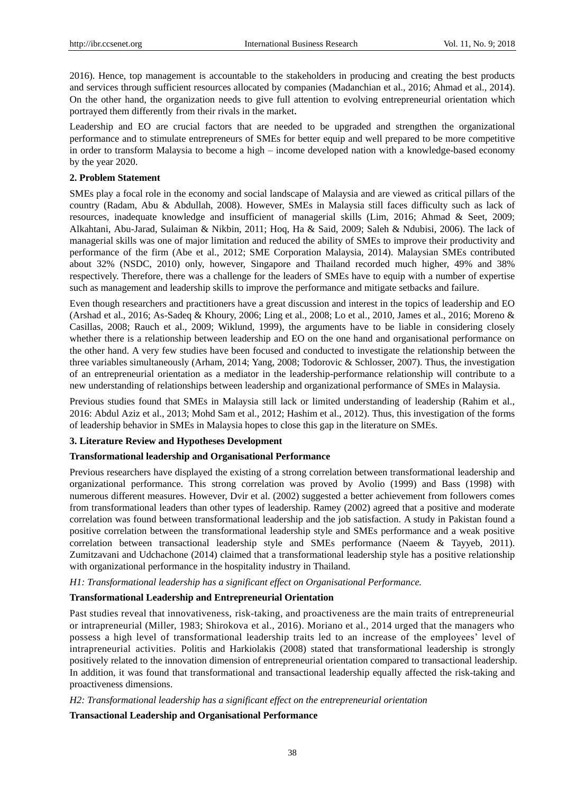2016). Hence, top management is accountable to the stakeholders in producing and creating the best products and services through sufficient resources allocated by companies (Madanchian et al., 2016; Ahmad et al., 2014). On the other hand, the organization needs to give full attention to evolving entrepreneurial orientation which portrayed them differently from their rivals in the market.

Leadership and EO are crucial factors that are needed to be upgraded and strengthen the organizational performance and to stimulate entrepreneurs of SMEs for better equip and well prepared to be more competitive in order to transform Malaysia to become a high – income developed nation with a knowledge-based economy by the year 2020.

#### **2. Problem Statement**

SMEs play a focal role in the economy and social landscape of Malaysia and are viewed as critical pillars of the country (Radam, Abu & Abdullah, 2008). However, SMEs in Malaysia still faces difficulty such as lack of resources, inadequate knowledge and insufficient of managerial skills (Lim, 2016; Ahmad & Seet, 2009; Alkahtani, Abu-Jarad, Sulaiman & Nikbin, 2011; Hoq, Ha & Said, 2009; Saleh & Ndubisi, 2006). The lack of managerial skills was one of major limitation and reduced the ability of SMEs to improve their productivity and performance of the firm (Abe et al., 2012; SME Corporation Malaysia, 2014). Malaysian SMEs contributed about 32% (NSDC, 2010) only, however, Singapore and Thailand recorded much higher, 49% and 38% respectively. Therefore, there was a challenge for the leaders of SMEs have to equip with a number of expertise such as management and leadership skills to improve the performance and mitigate setbacks and failure.

Even though researchers and practitioners have a great discussion and interest in the topics of leadership and EO (Arshad et al., 2016; As-Sadeq & Khoury, 2006; Ling et al., 2008; Lo et al., 2010, James et al., 2016; Moreno & Casillas, 2008; Rauch et al., 2009; Wiklund, 1999), the arguments have to be liable in considering closely whether there is a relationship between leadership and EO on the one hand and organisational performance on the other hand. A very few studies have been focused and conducted to investigate the relationship between the three variables simultaneously (Arham, 2014; Yang, 2008; Todorovic & Schlosser, 2007). Thus, the investigation of an entrepreneurial orientation as a mediator in the leadership-performance relationship will contribute to a new understanding of relationships between leadership and organizational performance of SMEs in Malaysia.

Previous studies found that SMEs in Malaysia still lack or limited understanding of leadership (Rahim et al., 2016: Abdul Aziz et al., 2013; Mohd Sam et al., 2012; Hashim et al., 2012). Thus, this investigation of the forms of leadership behavior in SMEs in Malaysia hopes to close this gap in the literature on SMEs.

# **3. Literature Review and Hypotheses Development**

#### **Transformational leadership and Organisational Performance**

Previous researchers have displayed the existing of a strong correlation between transformational leadership and organizational performance. This strong correlation was proved by Avolio (1999) and Bass (1998) with numerous different measures. However, Dvir et al. (2002) suggested a better achievement from followers comes from transformational leaders than other types of leadership. Ramey (2002) agreed that a positive and moderate correlation was found between transformational leadership and the job satisfaction. A study in Pakistan found a positive correlation between the transformational leadership style and SMEs performance and a weak positive correlation between transactional leadership style and SMEs performance (Naeem & Tayyeb, 2011). Zumitzavani and Udchachone (2014) claimed that a transformational leadership style has a positive relationship with organizational performance in the hospitality industry in Thailand.

#### *H1: Transformational leadership has a significant effect on Organisational Performance.*

# **Transformational Leadership and Entrepreneurial Orientation**

Past studies reveal that innovativeness, risk-taking, and proactiveness are the main traits of entrepreneurial or intrapreneurial (Miller, 1983; Shirokova et al., 2016). Moriano et al., 2014 urged that the managers who possess a high level of transformational leadership traits led to an increase of the employees' level of intrapreneurial activities. Politis and Harkiolakis (2008) stated that transformational leadership is strongly positively related to the innovation dimension of entrepreneurial orientation compared to transactional leadership. In addition, it was found that transformational and transactional leadership equally affected the risk-taking and proactiveness dimensions.

#### *H2: Transformational leadership has a significant effect on the entrepreneurial orientation*

# **Transactional Leadership and Organisational Performance**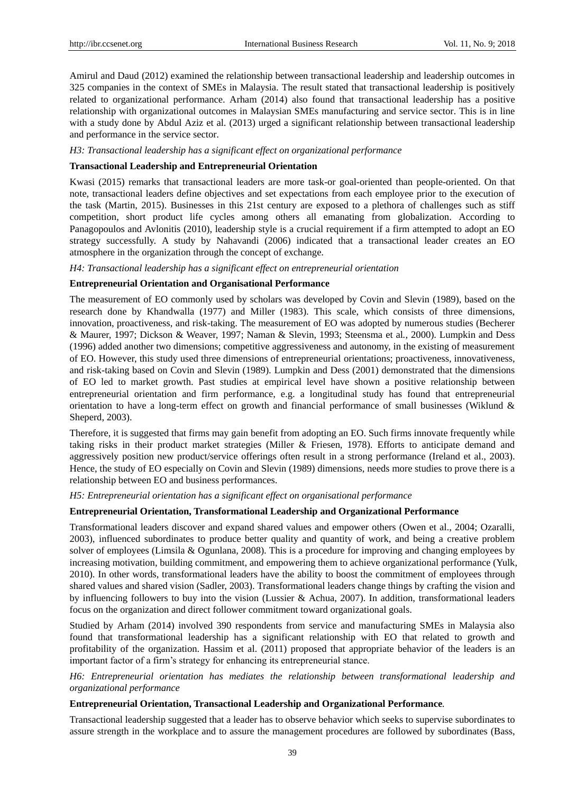Amirul and Daud (2012) examined the relationship between transactional leadership and leadership outcomes in 325 companies in the context of SMEs in Malaysia. The result stated that transactional leadership is positively related to organizational performance. Arham (2014) also found that transactional leadership has a positive relationship with organizational outcomes in Malaysian SMEs manufacturing and service sector. This is in line with a study done by Abdul Aziz et al. (2013) urged a significant relationship between transactional leadership and performance in the service sector.

#### *H3: Transactional leadership has a significant effect on organizational performance*

#### **Transactional Leadership and Entrepreneurial Orientation**

Kwasi (2015) remarks that transactional leaders are more task-or goal-oriented than people-oriented. On that note, transactional leaders define objectives and set expectations from each employee prior to the execution of the task (Martin, 2015). Businesses in this 21st century are exposed to a plethora of challenges such as stiff competition, short product life cycles among others all emanating from globalization. According to Panagopoulos and Avlonitis (2010), leadership style is a crucial requirement if a firm attempted to adopt an EO strategy successfully. A study by Nahavandi (2006) indicated that a transactional leader creates an EO atmosphere in the organization through the concept of exchange.

*H4: Transactional leadership has a significant effect on entrepreneurial orientation*

# **Entrepreneurial Orientation and Organisational Performance**

The measurement of EO commonly used by scholars was developed by Covin and Slevin (1989), based on the research done by Khandwalla (1977) and Miller (1983). This scale, which consists of three dimensions, innovation, proactiveness, and risk-taking. The measurement of EO was adopted by numerous studies (Becherer & Maurer, 1997; Dickson & Weaver, 1997; Naman & Slevin, 1993; Steensma et al*.*, 2000). Lumpkin and Dess (1996) added another two dimensions; competitive aggressiveness and autonomy, in the existing of measurement of EO. However, this study used three dimensions of entrepreneurial orientations; proactiveness, innovativeness, and risk-taking based on Covin and Slevin (1989). Lumpkin and Dess (2001) demonstrated that the dimensions of EO led to market growth. Past studies at empirical level have shown a positive relationship between entrepreneurial orientation and firm performance, e.g. a longitudinal study has found that entrepreneurial orientation to have a long-term effect on growth and financial performance of small businesses (Wiklund & Sheperd, 2003).

Therefore, it is suggested that firms may gain benefit from adopting an EO. Such firms innovate frequently while taking risks in their product market strategies (Miller & Friesen, 1978). Efforts to anticipate demand and aggressively position new product/service offerings often result in a strong performance (Ireland et al., 2003). Hence, the study of EO especially on Covin and Slevin (1989) dimensions, needs more studies to prove there is a relationship between EO and business performances.

*H5: Entrepreneurial orientation has a significant effect on organisational performance*

#### **Entrepreneurial Orientation, Transformational Leadership and Organizational Performance**

Transformational leaders discover and expand shared values and empower others (Owen et al., 2004; Ozaralli, 2003), influenced subordinates to produce better quality and quantity of work, and being a creative problem solver of employees (Limsila & Ogunlana, 2008). This is a procedure for improving and changing employees by increasing motivation, building commitment, and empowering them to achieve organizational performance (Yulk, 2010). In other words, transformational leaders have the ability to boost the commitment of employees through shared values and shared vision (Sadler, 2003). Transformational leaders change things by crafting the vision and by influencing followers to buy into the vision (Lussier & Achua, 2007). In addition, transformational leaders focus on the organization and direct follower commitment toward organizational goals.

Studied by Arham (2014) involved 390 respondents from service and manufacturing SMEs in Malaysia also found that transformational leadership has a significant relationship with EO that related to growth and profitability of the organization. Hassim et al. (2011) proposed that appropriate behavior of the leaders is an important factor of a firm's strategy for enhancing its entrepreneurial stance.

*H6: Entrepreneurial orientation has mediates the relationship between transformational leadership and organizational performance*

#### **Entrepreneurial Orientation, Transactional Leadership and Organizational Performance***.*

Transactional leadership suggested that a leader has to observe behavior which seeks to supervise subordinates to assure strength in the workplace and to assure the management procedures are followed by subordinates (Bass,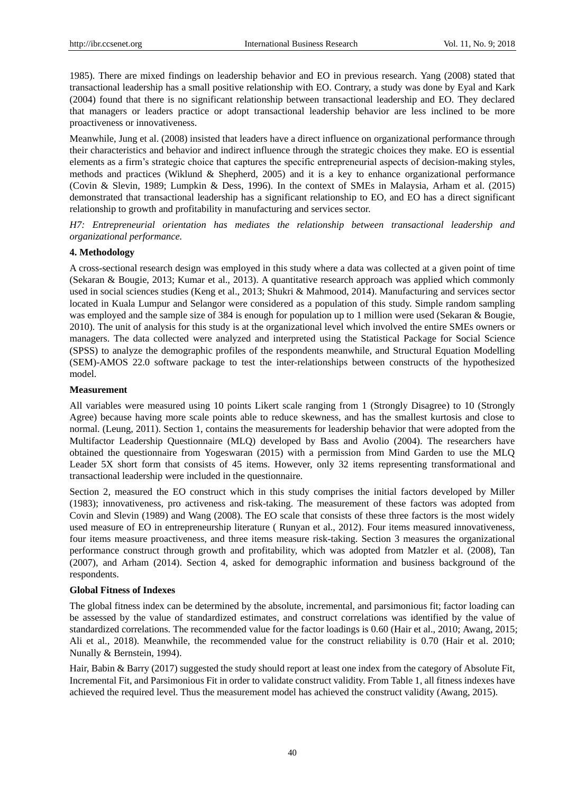1985). There are mixed findings on leadership behavior and EO in previous research. Yang (2008) stated that transactional leadership has a small positive relationship with EO. Contrary, a study was done by Eyal and Kark (2004) found that there is no significant relationship between transactional leadership and EO. They declared that managers or leaders practice or adopt transactional leadership behavior are less inclined to be more proactiveness or innovativeness.

Meanwhile, Jung et al. (2008) insisted that leaders have a direct influence on organizational performance through their characteristics and behavior and indirect influence through the strategic choices they make. EO is essential elements as a firm's strategic choice that captures the specific entrepreneurial aspects of decision-making styles, methods and practices (Wiklund & Shepherd, 2005) and it is a key to enhance organizational performance (Covin & Slevin, 1989; Lumpkin & Dess, 1996). In the context of SMEs in Malaysia, Arham et al. (2015) demonstrated that transactional leadership has a significant relationship to EO, and EO has a direct significant relationship to growth and profitability in manufacturing and services sector.

*H7: Entrepreneurial orientation has mediates the relationship between transactional leadership and organizational performance.* 

# **4. Methodology**

A cross-sectional research design was employed in this study where a data was collected at a given point of time (Sekaran & Bougie, 2013; Kumar et al., 2013). A quantitative research approach was applied which commonly used in social sciences studies (Keng et al., 2013; Shukri & Mahmood, 2014). Manufacturing and services sector located in Kuala Lumpur and Selangor were considered as a population of this study. Simple random sampling was employed and the sample size of 384 is enough for population up to 1 million were used (Sekaran & Bougie, 2010). The unit of analysis for this study is at the organizational level which involved the entire SMEs owners or managers. The data collected were analyzed and interpreted using the Statistical Package for Social Science (SPSS) to analyze the demographic profiles of the respondents meanwhile, and Structural Equation Modelling (SEM)-AMOS 22.0 software package to test the inter-relationships between constructs of the hypothesized model.

# **Measurement**

All variables were measured using 10 points Likert scale ranging from 1 (Strongly Disagree) to 10 (Strongly Agree) because having more scale points able to reduce skewness, and has the smallest kurtosis and close to normal. (Leung, 2011). Section 1, contains the measurements for leadership behavior that were adopted from the Multifactor Leadership Questionnaire (MLQ) developed by Bass and Avolio (2004). The researchers have obtained the questionnaire from Yogeswaran (2015) with a permission from Mind Garden to use the MLQ Leader 5X short form that consists of 45 items. However, only 32 items representing transformational and transactional leadership were included in the questionnaire.

Section 2, measured the EO construct which in this study comprises the initial factors developed by Miller (1983); innovativeness, pro activeness and risk-taking. The measurement of these factors was adopted from Covin and Slevin (1989) and Wang (2008). The EO scale that consists of these three factors is the most widely used measure of EO in entrepreneurship literature ( Runyan et al., 2012). Four items measured innovativeness, four items measure proactiveness, and three items measure risk-taking. Section 3 measures the organizational performance construct through growth and profitability, which was adopted from Matzler et al. (2008), Tan (2007), and Arham (2014). Section 4, asked for demographic information and business background of the respondents.

## **Global Fitness of Indexes**

The global fitness index can be determined by the absolute, incremental, and parsimonious fit; factor loading can be assessed by the value of standardized estimates, and construct correlations was identified by the value of standardized correlations. The recommended value for the factor loadings is 0.60 (Hair et al., 2010; Awang, 2015; Ali et al., 2018). Meanwhile, the recommended value for the construct reliability is 0.70 (Hair et al. 2010; Nunally & Bernstein, 1994).

Hair, Babin & Barry (2017) suggested the study should report at least one index from the category of Absolute Fit, Incremental Fit, and Parsimonious Fit in order to validate construct validity. From Table 1, all fitness indexes have achieved the required level. Thus the measurement model has achieved the construct validity (Awang, 2015).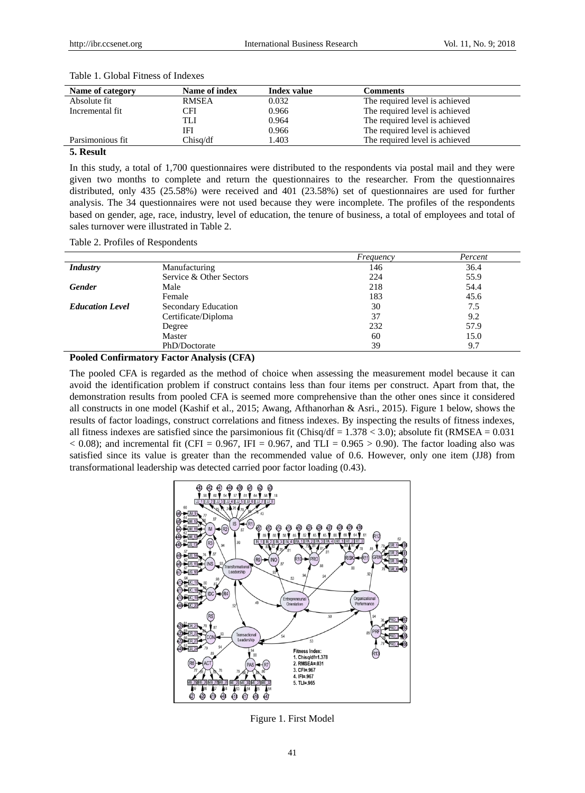| Name of category | Name of index | Index value | Comments                       |
|------------------|---------------|-------------|--------------------------------|
| Absolute fit     | <b>RMSEA</b>  | 0.032       | The required level is achieved |
| Incremental fit  | CFI           | 0.966       | The required level is achieved |
|                  | TLI           | 0.964       | The required level is achieved |
|                  | IFI           | 0.966       | The required level is achieved |
| Parsimonious fit | Chisa/df      | .403        | The required level is achieved |

Table 1. Global Fitness of Indexes

#### **5. Result**

In this study, a total of 1,700 questionnaires were distributed to the respondents via postal mail and they were given two months to complete and return the questionnaires to the researcher. From the questionnaires distributed, only 435 (25.58%) were received and 401 (23.58%) set of questionnaires are used for further analysis. The 34 questionnaires were not used because they were incomplete. The profiles of the respondents based on gender, age, race, industry, level of education, the tenure of business, a total of employees and total of sales turnover were illustrated in Table 2.

Table 2. Profiles of Respondents

|                        |                         | Frequency | Percent |
|------------------------|-------------------------|-----------|---------|
| <b>Industry</b>        | Manufacturing           | 146       | 36.4    |
|                        | Service & Other Sectors | 224       | 55.9    |
| <b>Gender</b>          | Male                    | 218       | 54.4    |
|                        | Female                  | 183       | 45.6    |
| <b>Education Level</b> | Secondary Education     | 30        | 7.5     |
|                        | Certificate/Diploma     | 37        | 9.2     |
|                        | Degree                  | 232       | 57.9    |
|                        | Master                  | 60        | 15.0    |
|                        | PhD/Doctorate           | 39        | 9.7     |

**Pooled Confirmatory Factor Analysis (CFA)**

The pooled CFA is regarded as the method of choice when assessing the measurement model because it can avoid the identification problem if construct contains less than four items per construct. Apart from that, the demonstration results from pooled CFA is seemed more comprehensive than the other ones since it considered all constructs in one model (Kashif et al., 2015; Awang, Afthanorhan & Asri., 2015). Figure 1 below, shows the results of factor loadings, construct correlations and fitness indexes. By inspecting the results of fitness indexes, all fitness indexes are satisfied since the parsimonious fit (Chisq/df =  $1.378 < 3.0$ ); absolute fit (RMSEA =  $0.031$ )  $< 0.08$ ); and incremental fit (CFI = 0.967, IFI = 0.967, and TLI = 0.965 > 0.90). The factor loading also was satisfied since its value is greater than the recommended value of 0.6. However, only one item (JJ8) from transformational leadership was detected carried poor factor loading (0.43).



Figure 1. First Model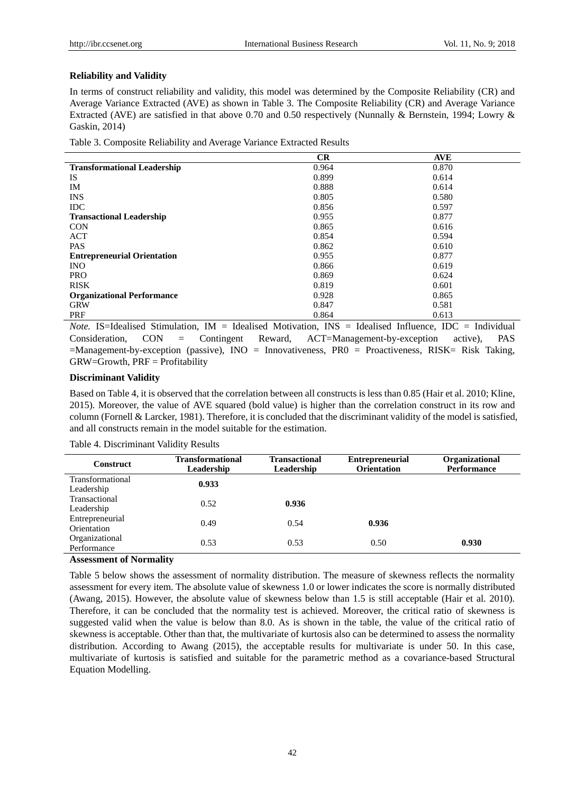## **Reliability and Validity**

In terms of construct reliability and validity, this model was determined by the Composite Reliability (CR) and Average Variance Extracted (AVE) as shown in Table 3. The Composite Reliability (CR) and Average Variance Extracted (AVE) are satisfied in that above 0.70 and 0.50 respectively (Nunnally & Bernstein, 1994; Lowry & Gaskin, 2014)

Table 3. Composite Reliability and Average Variance Extracted Results

|                                    | CR    | <b>AVE</b> |
|------------------------------------|-------|------------|
| <b>Transformational Leadership</b> | 0.964 | 0.870      |
| <b>IS</b>                          | 0.899 | 0.614      |
| IM                                 | 0.888 | 0.614      |
| <b>INS</b>                         | 0.805 | 0.580      |
| <b>IDC</b>                         | 0.856 | 0.597      |
| <b>Transactional Leadership</b>    | 0.955 | 0.877      |
| <b>CON</b>                         | 0.865 | 0.616      |
| ACT                                | 0.854 | 0.594      |
| <b>PAS</b>                         | 0.862 | 0.610      |
| <b>Entrepreneurial Orientation</b> | 0.955 | 0.877      |
| <b>INO</b>                         | 0.866 | 0.619      |
| <b>PRO</b>                         | 0.869 | 0.624      |
| <b>RISK</b>                        | 0.819 | 0.601      |
| <b>Organizational Performance</b>  | 0.928 | 0.865      |
| <b>GRW</b>                         | 0.847 | 0.581      |
| PRF                                | 0.864 | 0.613      |

*Note.* IS=Idealised Stimulation, IM = Idealised Motivation, INS = Idealised Influence, IDC = Individual Consideration, CON = Contingent Reward, ACT=Management-by-exception active), PAS =Management-by-exception (passive), INO = Innovativeness, PR0 = Proactiveness, RISK= Risk Taking, GRW=Growth, PRF = Profitability

# **Discriminant Validity**

Based on Table 4, it is observed that the correlation between all constructs is less than 0.85 (Hair et al. 2010; Kline, 2015). Moreover, the value of AVE squared (bold value) is higher than the correlation construct in its row and column (Fornell & Larcker, 1981). Therefore, it is concluded that the discriminant validity of the model is satisfied, and all constructs remain in the model suitable for the estimation.

| <b>Construct</b>               | <b>Transformational</b><br>Leadership | <b>Transactional</b><br>Leadership | <b>Entrepreneurial</b><br><b>Orientation</b> | Organizational<br><b>Performance</b> |
|--------------------------------|---------------------------------------|------------------------------------|----------------------------------------------|--------------------------------------|
| Transformational<br>Leadership | 0.933                                 |                                    |                                              |                                      |
| Transactional<br>Leadership    | 0.52                                  | 0.936                              |                                              |                                      |
| Entrepreneurial<br>Orientation | 0.49                                  | 0.54                               | 0.936                                        |                                      |
| Organizational<br>Performance  | 0.53                                  | 0.53                               | 0.50                                         | 0.930                                |

#### Table 4. Discriminant Validity Results

#### **Assessment of Normality**

Table 5 below shows the assessment of normality distribution. The measure of skewness reflects the normality assessment for every item. The absolute value of skewness 1.0 or lower indicates the score is normally distributed (Awang, 2015). However, the absolute value of skewness below than 1.5 is still acceptable (Hair et al. 2010). Therefore, it can be concluded that the normality test is achieved. Moreover, the critical ratio of skewness is suggested valid when the value is below than 8.0. As is shown in the table, the value of the critical ratio of skewness is acceptable. Other than that, the multivariate of kurtosis also can be determined to assess the normality distribution. According to Awang (2015), the acceptable results for multivariate is under 50. In this case, multivariate of kurtosis is satisfied and suitable for the parametric method as a covariance-based Structural Equation Modelling.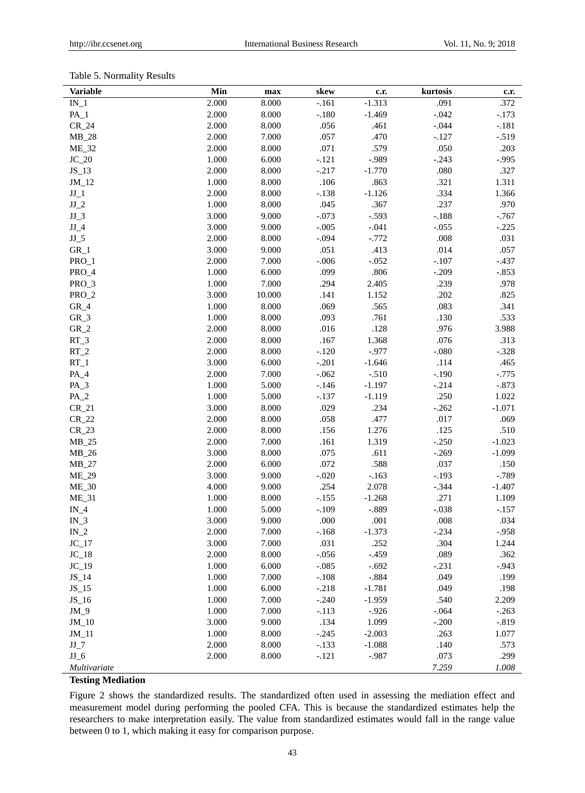# Table 5. Normality Results

| <b>Variable</b> | Min       | max    | skew    | c.r.     | kurtosis | c.r.      |
|-----------------|-----------|--------|---------|----------|----------|-----------|
| $IN_1$          | 2.000     | 8.000  | $-.161$ | $-1.313$ | .091     | .372      |
| $PA_1$          | 2.000     | 8.000  | $-.180$ | $-1.469$ | $-.042$  | $-.173$   |
| $CR_24$         | 2.000     | 8.000  | .056    | .461     | $-.044$  | $-.181$   |
| $MB_28$         | 2.000     | 7.000  | .057    | .470     | $-.127$  | $-.519$   |
| $ME_32$         | 2.000     | 8.000  | .071    | .579     | .050     | .203      |
| $JC_20$         | 1.000     | 6.000  | $-.121$ | $-.989$  | $-.243$  | $-.995$   |
| $JS_13$         | 2.000     | 8.000  | $-.217$ | $-1.770$ | .080     | .327      |
| $JM_12$         | 1.000     | 8.000  | .106    | .863     | .321     | 1.311     |
| $JJ_1$          | 2.000     | 8.000  | $-.138$ | $-1.126$ | .334     | 1.366     |
| $JJ_2$          | 1.000     | 8.000  | .045    | .367     | .237     | .970      |
| $JJ_3$          | 3.000     | 9.000  | $-.073$ | $-.593$  | $-.188$  | $-0.767$  |
| $JJ_4$          | 3.000     | 9.000  | $-.005$ | $-.041$  | $-.055$  | $-.225$   |
| $JJ_5$          | 2.000     | 8.000  | $-.094$ | $-.772$  | .008     | .031      |
| $GR_1$          | 3.000     | 9.000  | .051    | .413     | .014     | .057      |
| PRO_1           | 2.000     | 7.000  | $-.006$ | $-.052$  | $-.107$  | $-.437$   |
| $PRO_4$         | 1.000     | 6.000  | .099    | .806     | $-.209$  | $-.853$   |
| PRO_3           | 1.000     | 7.000  | .294    | 2.405    | .239     | .978      |
| $PRO_2$         | 3.000     | 10.000 | .141    | 1.152    | .202     | .825      |
| $GR_4$          | 1.000     | 8.000  | .069    | .565     | .083     | .341      |
| $GR_3$          | 1.000     | 8.000  | .093    | .761     | .130     | .533      |
| $GR_2$          | 2.000     | 8.000  | .016    | .128     | .976     | 3.988     |
| $RT_3$          | 2.000     | 8.000  | .167    | 1.368    | .076     | .313      |
| $RT_2$          | 2.000     | 8.000  | $-.120$ | $-.977$  | $-080$   | $-.328$   |
| $RT_1$          | 3.000     | 6.000  | $-.201$ | $-1.646$ | .114     | .465      |
| $PA_4$          | 2.000     | 7.000  | $-.062$ | $-.510$  | $-.190$  | $-0.775$  |
| $PA$ 3          | 1.000     | 5.000  | $-.146$ | $-1.197$ | $-.214$  | $-.873$   |
| $PA_2$          | 1.000     | 5.000  | $-.137$ | $-1.119$ | .250     | 1.022     |
| $CR_21$         | 3.000     | 8.000  | .029    | .234     | $-.262$  | $-1.071$  |
| $CR_22$         | 2.000     | 8.000  | .058    | .477     | .017     | .069      |
| $CR_23$         | 2.000     | 8.000  | .156    | 1.276    | .125     | .510      |
| $MB_25$         | 2.000     | 7.000  | .161    | 1.319    | $-.250$  | $-1.023$  |
| $MB_26$         | 3.000     | 8.000  | .075    | .611     | $-.269$  | $-1.099$  |
| $MB_27$         | 2.000     | 6.000  | .072    | .588     | .037     | .150      |
| <b>ME_29</b>    | 3.000     | 9.000  | $-.020$ | $-.163$  | $-.193$  | $-789$    |
| $ME_30$         | 4.000     | 9.000  | .254    | 2.078    | $-.344$  | $-1.407$  |
| $ME_31$         | 1.000     | 8.000  | $-.155$ | $-1.268$ | .271     | 1.109     |
| $IN_4$          | 1.000     | 5.000  | $-.109$ | $-.889$  | $-.038$  | $-.157$   |
| $IN_3$          | 3.000     | 9.000  | .000    | .001     | .008     | .034      |
| $IN_2$          | 2.000     | 7.000  | $-.168$ | $-1.373$ | $-.234$  | $-.958$   |
| $JC_17$         | 3.000     | 7.000  | .031    | .252     | .304     | 1.244     |
| $JC_18$         | 2.000     | 8.000  | $-.056$ | $-.459$  | .089     | .362      |
| $JC_19$         | $1.000\,$ | 6.000  | $-.085$ | $-.692$  | $-.231$  | $-.943$   |
| $JS_14$         | 1.000     | 7.000  | $-.108$ | $-.884$  | .049     | .199      |
| $JS_15$         | 1.000     | 6.000  | $-.218$ | $-1.781$ | .049     | .198      |
| $JS_16$         | 1.000     | 7.000  | $-.240$ | $-1.959$ | .540     | 2.209     |
| $JM_9$          | 1.000     | 7.000  | $-.113$ | $-.926$  | $-.064$  | $-.263$   |
| $JM_10$         | 3.000     | 9.000  | .134    | 1.099    | $-.200$  | $-0.819$  |
| $JM_11$         | 1.000     | 8.000  | $-.245$ | $-2.003$ | .263     | 1.077     |
| $JJ_7$          | 2.000     | 8.000  | $-.133$ | $-1.088$ | .140     | .573      |
| $JJ_6$          | 2.000     | 8.000  | $-.121$ | $-.987$  | .073     | .299      |
| Multivariate    |           |        |         |          | 7.259    | $1.008\,$ |

# **Testing Mediation**

Figure 2 shows the standardized results. The standardized often used in assessing the mediation effect and measurement model during performing the pooled CFA. This is because the standardized estimates help the researchers to make interpretation easily. The value from standardized estimates would fall in the range value between 0 to 1, which making it easy for comparison purpose.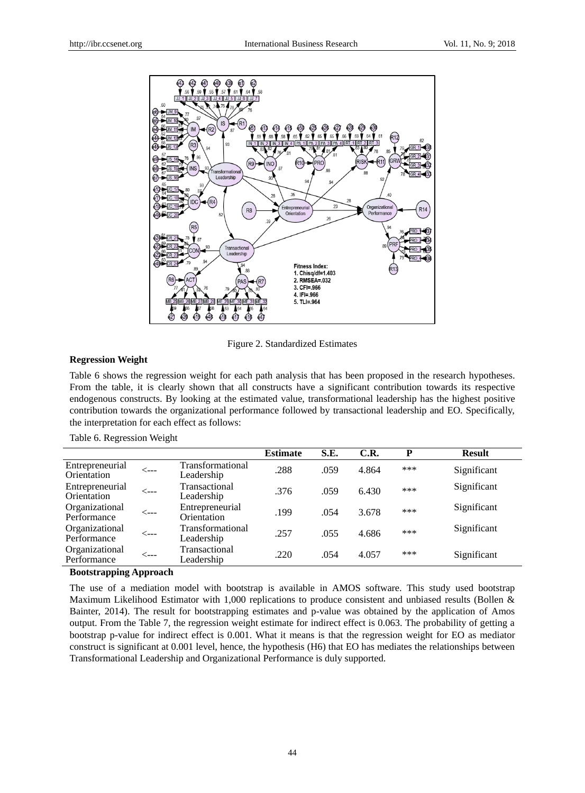

Figure 2. Standardized Estimates

#### **Regression Weight**

Table 6 shows the regression weight for each path analysis that has been proposed in the research hypotheses. From the table, it is clearly shown that all constructs have a significant contribution towards its respective endogenous constructs. By looking at the estimated value, transformational leadership has the highest positive contribution towards the organizational performance followed by transactional leadership and EO. Specifically, the interpretation for each effect as follows:

Table 6. Regression Weight

|                                |      |                                | <b>Estimate</b> | S.E. | C.R.  | P   | <b>Result</b> |
|--------------------------------|------|--------------------------------|-----------------|------|-------|-----|---------------|
| Entrepreneurial<br>Orientation | <--- | Transformational<br>Leadership | .288            | .059 | 4.864 | *** | Significant   |
| Entrepreneurial<br>Orientation | <--- | Transactional<br>Leadership    | .376            | .059 | 6.430 | *** | Significant   |
| Organizational<br>Performance  | <--- | Entrepreneurial<br>Orientation | .199            | .054 | 3.678 | *** | Significant   |
| Organizational<br>Performance  | <--- | Transformational<br>Leadership | .257            | .055 | 4.686 | *** | Significant   |
| Organizational<br>Performance  | <--- | Transactional<br>Leadership    | .220            | .054 | 4.057 | *** | Significant   |
|                                |      |                                |                 |      |       |     |               |

#### **Bootstrapping Approach**

The use of a mediation model with bootstrap is available in AMOS software. This study used bootstrap Maximum Likelihood Estimator with 1,000 replications to produce consistent and unbiased results (Bollen & Bainter, 2014). The result for bootstrapping estimates and p-value was obtained by the application of Amos output. From the Table 7, the regression weight estimate for indirect effect is 0.063. The probability of getting a bootstrap p-value for indirect effect is 0.001. What it means is that the regression weight for EO as mediator construct is significant at 0.001 level, hence, the hypothesis (H6) that EO has mediates the relationships between Transformational Leadership and Organizational Performance is duly supported.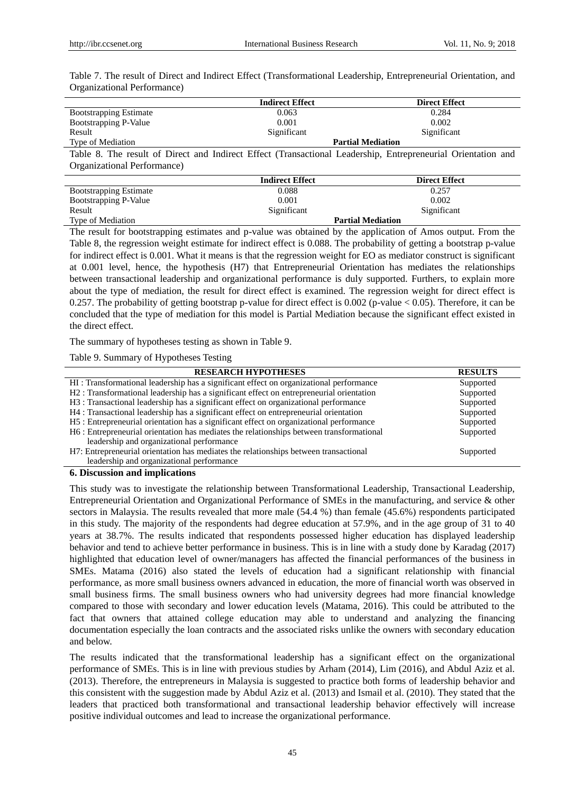Table 7. The result of Direct and Indirect Effect (Transformational Leadership, Entrepreneurial Orientation, and Organizational Performance)

|                               | <b>Indirect Effect</b> | <b>Direct Effect</b>     |
|-------------------------------|------------------------|--------------------------|
| <b>Bootstrapping Estimate</b> | 0.063                  | 0.284                    |
| Bootstrapping P-Value         | 0.001                  | 0.002                    |
| Result                        | Significant            | Significant              |
| Type of Mediation             |                        | <b>Partial Mediation</b> |

Table 8. The result of Direct and Indirect Effect (Transactional Leadership, Entrepreneurial Orientation and Organizational Performance)

|                               | <b>Indirect Effect</b> | <b>Direct Effect</b>     |
|-------------------------------|------------------------|--------------------------|
| <b>Bootstrapping Estimate</b> | 0.088                  | 0.257                    |
| Bootstrapping P-Value         | 0.001                  | 0.002                    |
| Result                        | Significant            | Significant              |
| Type of Mediation             |                        | <b>Partial Mediation</b> |

The result for bootstrapping estimates and p-value was obtained by the application of Amos output. From the Table 8, the regression weight estimate for indirect effect is 0.088. The probability of getting a bootstrap p-value for indirect effect is 0.001. What it means is that the regression weight for EO as mediator construct is significant at 0.001 level, hence, the hypothesis (H7) that Entrepreneurial Orientation has mediates the relationships between transactional leadership and organizational performance is duly supported. Furthers, to explain more about the type of mediation, the result for direct effect is examined. The regression weight for direct effect is 0.257. The probability of getting bootstrap p-value for direct effect is 0.002 (p-value < 0.05). Therefore, it can be concluded that the type of mediation for this model is Partial Mediation because the significant effect existed in the direct effect.

The summary of hypotheses testing as shown in Table 9.

Table 9. Summary of Hypotheses Testing

| <b>RESEARCH HYPOTHESES</b>                                                               | <b>RESULTS</b> |
|------------------------------------------------------------------------------------------|----------------|
| HI: Transformational leadership has a significant effect on organizational performance   | Supported      |
| H2: Transformational leadership has a significant effect on entrepreneurial orientation  | Supported      |
| H3 : Transactional leadership has a significant effect on organizational performance     | Supported      |
| H4 : Transactional leadership has a significant effect on entrepreneurial orientation    | Supported      |
| H5: Entrepreneurial orientation has a significant effect on organizational performance   | Supported      |
| H6 : Entrepreneurial orientation has mediates the relationships between transformational | Supported      |
| leadership and organizational performance                                                |                |
| H7: Entrepreneurial orientation has mediates the relationships between transactional     | Supported      |
| leadership and organizational performance                                                |                |

# **6. Discussion and implications**

This study was to investigate the relationship between Transformational Leadership, Transactional Leadership, Entrepreneurial Orientation and Organizational Performance of SMEs in the manufacturing, and service & other sectors in Malaysia. The results revealed that more male (54.4 %) than female (45.6%) respondents participated in this study. The majority of the respondents had degree education at 57.9%, and in the age group of 31 to 40 years at 38.7%. The results indicated that respondents possessed higher education has displayed leadership behavior and tend to achieve better performance in business. This is in line with a study done by Karadag (2017) highlighted that education level of owner/managers has affected the financial performances of the business in SMEs. Matama (2016) also stated the levels of education had a significant relationship with financial performance, as more small business owners advanced in education, the more of financial worth was observed in small business firms. The small business owners who had university degrees had more financial knowledge compared to those with secondary and lower education levels (Matama, 2016). This could be attributed to the fact that owners that attained college education may able to understand and analyzing the financing documentation especially the loan contracts and the associated risks unlike the owners with secondary education and below.

The results indicated that the transformational leadership has a significant effect on the organizational performance of SMEs. This is in line with previous studies by Arham (2014), Lim (2016), and Abdul Aziz et al. (2013). Therefore, the entrepreneurs in Malaysia is suggested to practice both forms of leadership behavior and this consistent with the suggestion made by Abdul Aziz et al. (2013) and Ismail et al. (2010). They stated that the leaders that practiced both transformational and transactional leadership behavior effectively will increase positive individual outcomes and lead to increase the organizational performance.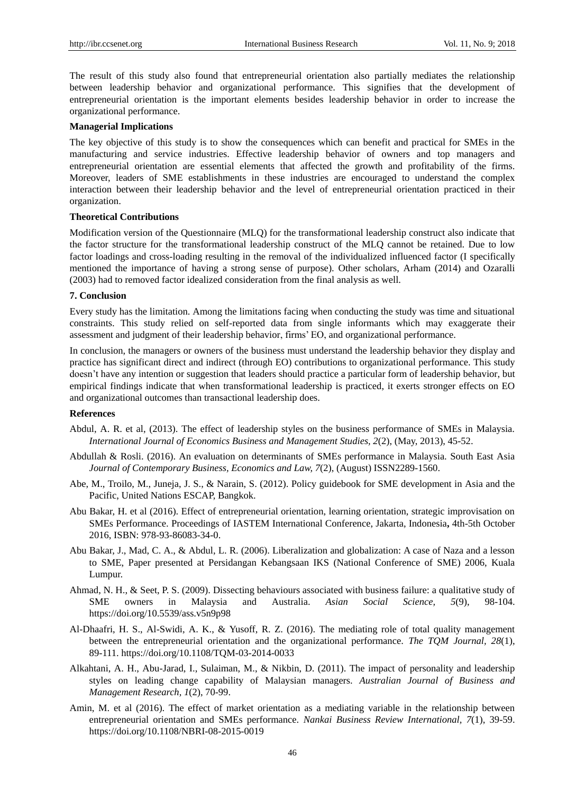The result of this study also found that entrepreneurial orientation also partially mediates the relationship between leadership behavior and organizational performance. This signifies that the development of entrepreneurial orientation is the important elements besides leadership behavior in order to increase the organizational performance.

#### **Managerial Implications**

The key objective of this study is to show the consequences which can benefit and practical for SMEs in the manufacturing and service industries. Effective leadership behavior of owners and top managers and entrepreneurial orientation are essential elements that affected the growth and profitability of the firms. Moreover, leaders of SME establishments in these industries are encouraged to understand the complex interaction between their leadership behavior and the level of entrepreneurial orientation practiced in their organization.

#### **Theoretical Contributions**

Modification version of the Questionnaire (MLQ) for the transformational leadership construct also indicate that the factor structure for the transformational leadership construct of the MLQ cannot be retained. Due to low factor loadings and cross-loading resulting in the removal of the individualized influenced factor (I specifically mentioned the importance of having a strong sense of purpose). Other scholars, Arham (2014) and Ozaralli (2003) had to removed factor idealized consideration from the final analysis as well.

#### **7. Conclusion**

Every study has the limitation. Among the limitations facing when conducting the study was time and situational constraints. This study relied on self-reported data from single informants which may exaggerate their assessment and judgment of their leadership behavior, firms' EO, and organizational performance.

In conclusion, the managers or owners of the business must understand the leadership behavior they display and practice has significant direct and indirect (through EO) contributions to organizational performance. This study doesn't have any intention or suggestion that leaders should practice a particular form of leadership behavior, but empirical findings indicate that when transformational leadership is practiced, it exerts stronger effects on EO and organizational outcomes than transactional leadership does.

## **References**

- Abdul, A. R. et al, (2013). The effect of leadership styles on the business performance of SMEs in Malaysia. *International Journal of Economics Business and Management Studies, 2*(2), (May, 2013), 45-52.
- Abdullah & Rosli. (2016). An evaluation on determinants of SMEs performance in Malaysia. South East Asia *Journal of Contemporary Business, Economics and Law, 7*(2), (August) ISSN2289-1560.
- Abe, M., Troilo, M., Juneja, J. S., & Narain, S. (2012). Policy guidebook for SME development in Asia and the Pacific, United Nations ESCAP, Bangkok.
- Abu Bakar, H. et al (2016). Effect of entrepreneurial orientation, learning orientation, strategic improvisation on SMEs Performance. Proceedings of IASTEM International Conference, Jakarta, Indonesia**,** 4th-5th October 2016, ISBN: 978-93-86083-34-0.
- Abu Bakar, J., Mad, C. A., & Abdul, L. R. (2006). Liberalization and globalization: A case of Naza and a lesson to SME, Paper presented at Persidangan Kebangsaan IKS (National Conference of SME) 2006, Kuala Lumpur.
- Ahmad, N. H., & Seet, P. S. (2009). Dissecting behaviours associated with business failure: a qualitative study of SME owners in Malaysia and Australia. *Asian Social Science, 5*(9), 98-104. https://doi.org/10.5539/ass.v5n9p98
- Al-Dhaafri, H. S., Al-Swidi, A. K., & Yusoff, R. Z. (2016). The mediating role of total quality management between the entrepreneurial orientation and the organizational performance. *The TQM Journal, 28*(1), 89-111. https://doi.org/10.1108/TQM-03-2014-0033
- Alkahtani, A. H., Abu-Jarad, I., Sulaiman, M., & Nikbin, D. (2011). The impact of personality and leadership styles on leading change capability of Malaysian managers. *Australian Journal of Business and Management Research, 1*(2), 70-99.
- Amin, M. et al (2016). The effect of market orientation as a mediating variable in the relationship between entrepreneurial orientation and SMEs performance. *Nankai Business Review International, 7*(1), 39-59. https://doi.org/10.1108/NBRI-08-2015-0019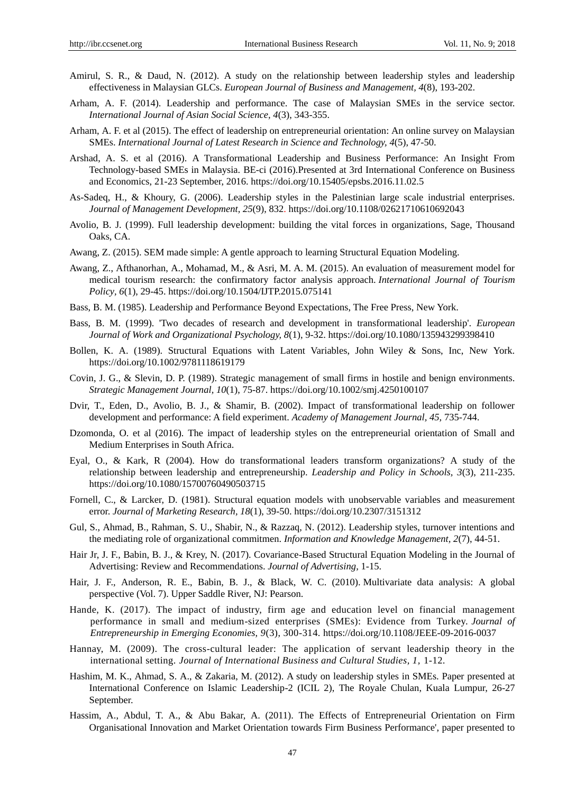- Amirul, S. R., & Daud, N. (2012). A study on the relationship between leadership styles and leadership effectiveness in Malaysian GLCs. *European Journal of Business and Management, 4*(8), 193-202.
- Arham, A. F. (2014). Leadership and performance. The case of Malaysian SMEs in the service sector. *International Journal of Asian Social Science, 4*(3), 343-355.
- Arham, A. F. et al (2015). The effect of leadership on entrepreneurial orientation: An online survey on Malaysian SMEs. *International Journal of Latest Research in Science and Technology, 4*(5), 47-50.
- Arshad, A. S. et al (2016). A Transformational Leadership and Business Performance: An Insight From Technology-based SMEs in Malaysia. BE-ci (2016).Presented at 3rd International Conference on Business and Economics, 21-23 September, 2016. https://doi.org/10.15405/epsbs.2016.11.02.5
- As-Sadeq, H., & Khoury, G. (2006). Leadership styles in the Palestinian large scale industrial enterprises. *Journal of Management Development, 25*(9), 832. https://doi.org/10.1108/02621710610692043
- Avolio, B. J. (1999). Full leadership development: building the vital forces in organizations, Sage, Thousand Oaks, CA.
- Awang, Z. (2015). SEM made simple: A gentle approach to learning Structural Equation Modeling.
- Awang, Z., Afthanorhan, A., Mohamad, M., & Asri, M. A. M. (2015). An evaluation of measurement model for medical tourism research: the confirmatory factor analysis approach. *International Journal of Tourism Policy, 6*(1), 29-45. https://doi.org/10.1504/IJTP.2015.075141
- Bass, B. M. (1985). Leadership and Performance Beyond Expectations, The Free Press, New York.
- Bass, B. M. (1999). 'Two decades of research and development in transformational leadership'. *European Journal of Work and Organizational Psychology, 8*(1), 9-32. https://doi.org/10.1080/135943299398410
- Bollen, K. A. (1989). Structural Equations with Latent Variables, John Wiley & Sons, Inc, New York. https://doi.org/10.1002/9781118619179
- Covin, J. G., & Slevin, D. P. (1989). Strategic management of small firms in hostile and benign environments. *Strategic Management Journal, 10*(1), 75-87. https://doi.org/10.1002/smj.4250100107
- Dvir, T., Eden, D., Avolio, B. J., & Shamir, B. (2002). Impact of transformational leadership on follower development and performance: A field experiment. *Academy of Management Journal, 45,* 735-744.
- Dzomonda, O. et al (2016). The impact of leadership styles on the entrepreneurial orientation of Small and Medium Enterprises in South Africa.
- Eyal, O., & Kark, R (2004). How do transformational leaders transform organizations? A study of the relationship between leadership and entrepreneurship. *Leadership and Policy in Schools, 3*(3), 211-235. https://doi.org/10.1080/15700760490503715
- Fornell, C., & Larcker, D. (1981). Structural equation models with unobservable variables and measurement error. *Journal of Marketing Research, 18*(1), 39-50. https://doi.org/10.2307/3151312
- Gul, S., Ahmad, B., Rahman, S. U., Shabir, N., & Razzaq, N. (2012). Leadership styles, turnover intentions and the mediating role of organizational commitmen. *Information and Knowledge Management, 2*(7), 44-51.
- Hair Jr, J. F., Babin, B. J., & Krey, N. (2017). Covariance-Based Structural Equation Modeling in the Journal of Advertising: Review and Recommendations. *Journal of Advertising,* 1-15.
- Hair, J. F., Anderson, R. E., Babin, B. J., & Black, W. C. (2010). Multivariate data analysis: A global perspective (Vol. 7). Upper Saddle River, NJ: Pearson.
- Hande, K. (2017). The impact of industry, firm age and education level on financial management performance in small and medium-sized enterprises (SMEs): Evidence from Turkey. *Journal of Entrepreneurship in Emerging Economies, 9*(3), 300-314. https://doi.org/10.1108/JEEE-09-2016-0037
- Hannay, M. (2009). The cross-cultural leader: The application of servant leadership theory in the international setting. *Journal of International Business and Cultural Studies, 1,* 1-12.
- Hashim, M. K., Ahmad, S. A., & Zakaria, M. (2012). A study on leadership styles in SMEs. Paper presented at International Conference on Islamic Leadership-2 (ICIL 2), The Royale Chulan, Kuala Lumpur, 26-27 September.
- Hassim, A., Abdul, T. A., & Abu Bakar, A. (2011). The Effects of Entrepreneurial Orientation on Firm Organisational Innovation and Market Orientation towards Firm Business Performance', paper presented to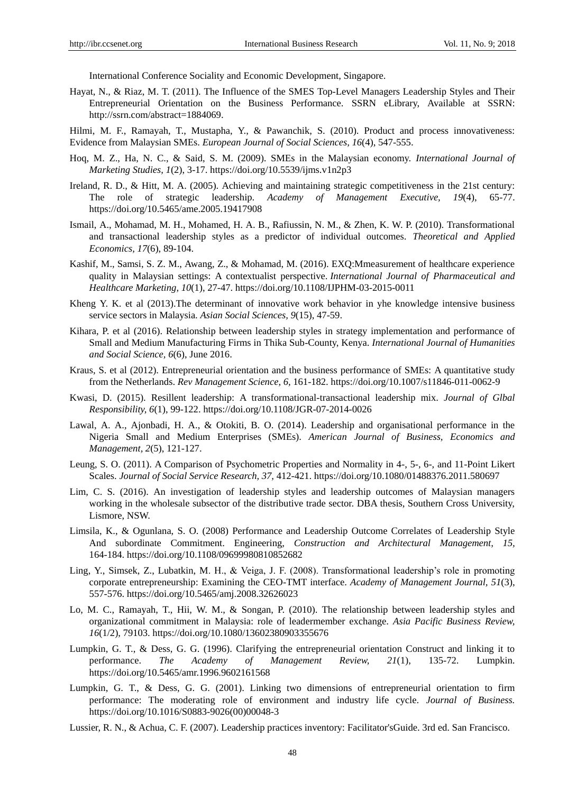International Conference Sociality and Economic Development, Singapore.

- Hayat, N., & Riaz, M. T. (2011). The Influence of the SMES Top-Level Managers Leadership Styles and Their Entrepreneurial Orientation on the Business Performance. SSRN eLibrary, Available at SSRN: [http://ssrn.com/abstract=1884069.](http://ssrn.com/abstract=1884069)
- Hilmi, M. F., Ramayah, T., Mustapha, Y., & Pawanchik, S. (2010). Product and process innovativeness: Evidence from Malaysian SMEs. *European Journal of Social Sciences, 16*(4), 547-555.
- Hoq, M. Z., Ha, N. C., & Said, S. M. (2009). SMEs in the Malaysian economy. *International Journal of Marketing Studies, 1*(2), 3-17. https://doi.org/10.5539/ijms.v1n2p3
- Ireland, R. D., & Hitt, M. A. (2005). Achieving and maintaining strategic competitiveness in the 21st century: The role of strategic leadership. *Academy of Management Executive, 19*(4), 65-77. https://doi.org/10.5465/ame.2005.19417908
- Ismail, A., Mohamad, M. H., Mohamed, H. A. B., Rafiussin, N. M., & Zhen, K. W. P. (2010). Transformational and transactional leadership styles as a predictor of individual outcomes. *Theoretical and Applied Economics, 17*(6), 89-104.
- Kashif, M., Samsi, S. Z. M., Awang, Z., & Mohamad, M. (2016). EXQ:Mmeasurement of healthcare experience quality in Malaysian settings: A contextualist perspective. *International Journal of Pharmaceutical and Healthcare Marketing, 10*(1), 27-47. https://doi.org/10.1108/IJPHM-03-2015-0011
- Kheng Y. K. et al (2013).The determinant of innovative work behavior in yhe knowledge intensive business service sectors in Malaysia. *Asian Social Sciences, 9*(15), 47-59.
- Kihara, P. et al (2016). Relationship between leadership styles in strategy implementation and performance of Small and Medium Manufacturing Firms in Thika Sub-County, Kenya. *International Journal of Humanities and Social Science, 6*(6), June 2016.
- Kraus, S. et al (2012). Entrepreneurial orientation and the business performance of SMEs: A quantitative study from the Netherlands. *Rev Management Science*, *6,* 161-182. https://doi.org/10.1007/s11846-011-0062-9
- Kwasi, D. (2015). Resillent leadership: A transformational-transactional leadership mix. *Journal of Glbal Responsibility, 6*(1), 99-122. https://doi.org/10.1108/JGR-07-2014-0026
- Lawal, A. A., Ajonbadi, H. A., & Otokiti, B. O. (2014). Leadership and organisational performance in the Nigeria Small and Medium Enterprises (SMEs). *American Journal of Business, Economics and Management, 2*(5), 121-127.
- Leung, S. O. (2011). A Comparison of Psychometric Properties and Normality in 4-, 5-, 6-, and 11-Point Likert Scales. *Journal of Social Service Research, 37,* 412-421. https://doi.org/10.1080/01488376.2011.580697
- Lim, C. S. (2016). An investigation of leadership styles and leadership outcomes of Malaysian managers working in the wholesale subsector of the distributive trade sector. DBA thesis, Southern Cross University, Lismore, NSW.
- Limsila, K., & Ogunlana, S. O. (2008) Performance and Leadership Outcome Correlates of Leadership Style And subordinate Commitment. Engineering, *Construction and Architectural Management, 15,* 164-184. https://doi.org/10.1108/09699980810852682
- Ling, Y., Simsek, Z., Lubatkin, M. H., & Veiga, J. F. (2008). Transformational leadership's role in promoting corporate entrepreneurship: Examining the CEO-TMT interface. *Academy of Management Journal, 51*(3), 557-576. https://doi.org/10.5465/amj.2008.32626023
- Lo, M. C., Ramayah, T., Hii, W. M., & Songan, P. (2010). The relationship between leadership styles and organizational commitment in Malaysia: role of leadermember exchange. *Asia Pacific Business Review, 16*(1/2), 79103. https://doi.org/10.1080/13602380903355676
- Lumpkin, G. T., & Dess, G. G. (1996). Clarifying the entrepreneurial orientation Construct and linking it to performance. *The Academy of Management Review, 21*(1), 135-72. Lumpkin. https://doi.org/10.5465/amr.1996.9602161568
- Lumpkin, G. T., & Dess, G. G. (2001). Linking two dimensions of entrepreneurial orientation to firm performance: The moderating role of environment and industry life cycle. *Journal of Business.*  https://doi.org/10.1016/S0883-9026(00)00048-3
- Lussier, R. N., & Achua, C. F. (2007). Leadership practices inventory: Facilitator'sGuide. 3rd ed. San Francisco.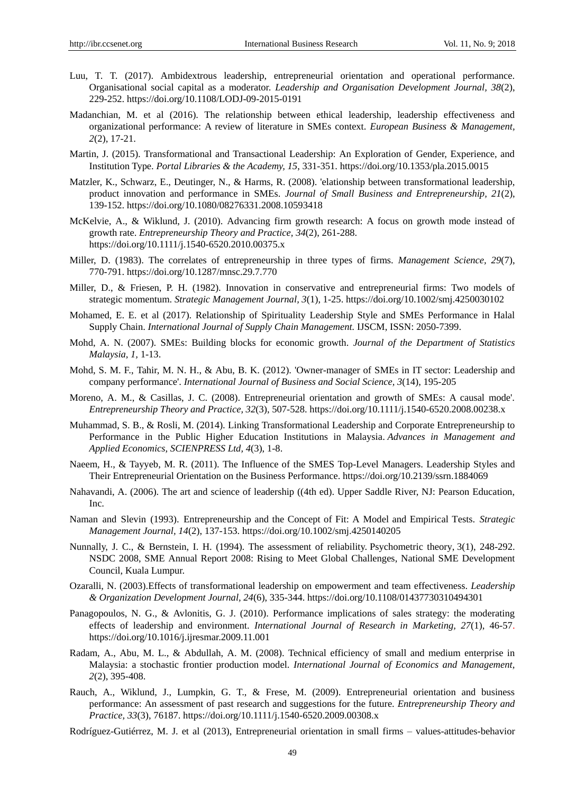- Luu, T. T. (2017). Ambidextrous leadership, entrepreneurial orientation and operational performance. Organisational social capital as a moderator. *Leadership and Organisation Development Journal, 38*(2), 229-252. https://doi.org/10.1108/LODJ-09-2015-0191
- Madanchian, M. et al (2016). The relationship between ethical leadership, leadership effectiveness and organizational performance: A review of literature in SMEs context. *European Business & Management, 2*(2), 17-21.
- Martin, J. (2015). Transformational and Transactional Leadership: An Exploration of Gender, Experience, and Institution Type. *Portal Libraries & the Academy, 15*, 331-351. https://doi.org/10.1353/pla.2015.0015
- Matzler, K., Schwarz, E., Deutinger, N., & Harms, R. (2008). 'elationship between transformational leadership, product innovation and performance in SMEs. *Journal of Small Business and Entrepreneurship, 21*(2), 139-152. https://doi.org/10.1080/08276331.2008.10593418
- McKelvie, A., & Wiklund, J. (2010). Advancing firm growth research: A focus on growth mode instead of growth rate. *Entrepreneurship Theory and Practice, 34*(2), 261-288. https://doi.org/10.1111/j.1540-6520.2010.00375.x
- Miller, D. (1983). The correlates of entrepreneurship in three types of firms. *Management Science, 29*(7), 770-791. https://doi.org/10.1287/mnsc.29.7.770
- Miller, D., & Friesen, P. H. (1982). Innovation in conservative and entrepreneurial firms: Two models of strategic momentum. *Strategic Management Journal, 3*(1), 1-25. https://doi.org/10.1002/smj.4250030102
- Mohamed, E. E. et al (2017). Relationship of Spirituality Leadership Style and SMEs Performance in Halal Supply Chain. *International Journal of Supply Chain Management.* IJSCM, ISSN: 2050-7399.
- Mohd, A. N. (2007). SMEs: Building blocks for economic growth. *Journal of the Department of Statistics Malaysia, 1,* 1-13.
- Mohd, S. M. F., Tahir, M. N. H., & Abu, B. K. (2012). 'Owner-manager of SMEs in IT sector: Leadership and company performance'. *International Journal of Business and Social Science, 3*(14), 195-205
- Moreno, A. M., & Casillas, J. C. (2008). Entrepreneurial orientation and growth of SMEs: A causal mode'. *Entrepreneurship Theory and Practice, 32*(3), 507-528. https://doi.org/10.1111/j.1540-6520.2008.00238.x
- Muhammad, S. B., & Rosli, M. (2014). [Linking Transformational Leadership and Corporate Entrepreneurship to](https://ideas.repec.org/a/spt/admaec/v4y2014i3f4_3_8.html)  [Performance in the Public Higher Education Institutions in Malaysia.](https://ideas.repec.org/a/spt/admaec/v4y2014i3f4_3_8.html) *[Advances in Management and](https://ideas.repec.org/s/spt/admaec.html)  [Applied Economics,](https://ideas.repec.org/s/spt/admaec.html) SCIENPRESS Ltd, 4*(3), 1-8.
- Naeem, H., & Tayyeb, M. R. (2011). The Influence of the SMES Top-Level Managers. Leadership Styles and Their Entrepreneurial Orientation on the Business Performance. https://doi.org/10.2139/ssrn.1884069
- Nahavandi, A. (2006). The art and science of leadership ((4th ed). Upper Saddle River, NJ: Pearson Education, Inc.
- Naman and Slevin (1993). Entrepreneurship and the Concept of Fit: A Model and Empirical Tests. *[Strategic](https://www.researchgate.net/journal/1097-0266_Strategic_Management_Journal)  [Management Journal,](https://www.researchgate.net/journal/1097-0266_Strategic_Management_Journal) 14*(2), 137-153. https://doi.org/10.1002/smj.4250140205
- Nunnally, J. C., & Bernstein, I. H. (1994). The assessment of reliability. Psychometric theory, 3(1), 248-292. NSDC 2008, SME Annual Report 2008: Rising to Meet Global Challenges, National SME Development Council, Kuala Lumpur.
- Ozaralli, N. (2003).Effects of transformational leadership on empowerment and team effectiveness. *Leadership & Organization Development Journal, 24*(6), 335-344. https://doi.org/10.1108/01437730310494301
- Panagopoulos, N. G., & Avlonitis, G. J. (2010). Performance implications of sales strategy: the moderating effects of leadership and environment. *International Journal of Research in Marketing, 27*(1), 46-57. https://doi.org/10.1016/j.ijresmar.2009.11.001
- Radam, A., Abu, M. L., & Abdullah, A. M. (2008). Technical efficiency of small and medium enterprise in Malaysia: a stochastic frontier production model. *International Journal of Economics and Management, 2*(2), 395-408.
- Rauch, A., Wiklund, J., Lumpkin, G. T., & Frese, M. (2009). Entrepreneurial orientation and business performance: An assessment of past research and suggestions for the future. *Entrepreneurship Theory and Practice, 33*(3), 76187. https://doi.org/10.1111/j.1540-6520.2009.00308.x
- Rodr guez-Guti érrez, M. J. et al (2013), Entrepreneurial orientation in small firms values-attitudes-behavior